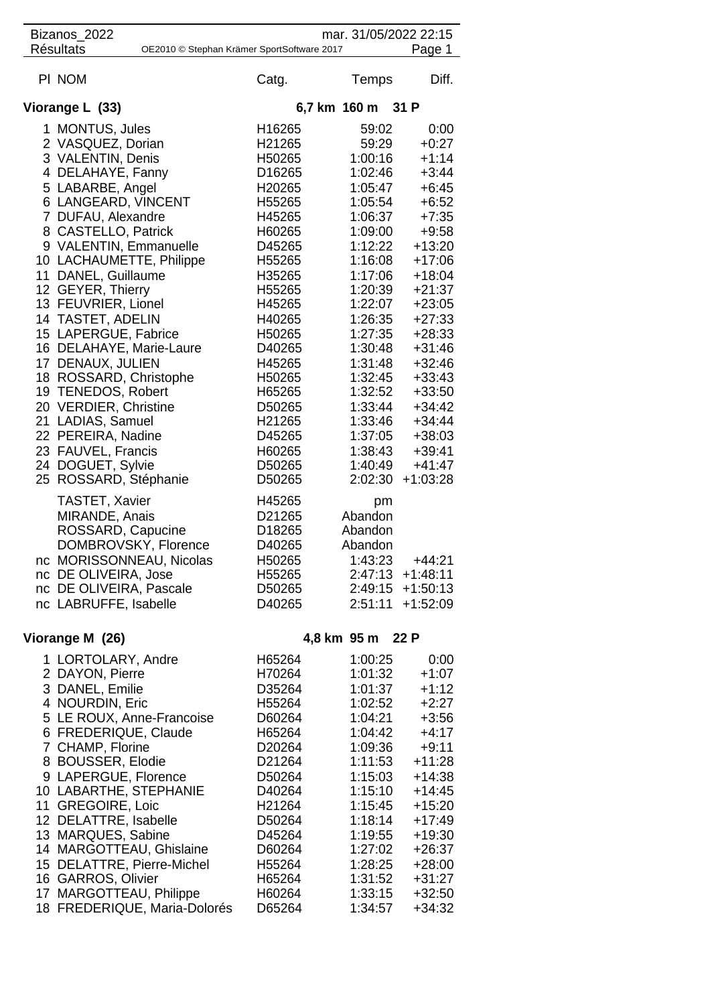| Bizanos 2022<br>mar. 31/05/2022 22:15                                    |                                                                                                                                                                                                                                                                                |                                                                                                                                                                                                                           |  |  |  |  |
|--------------------------------------------------------------------------|--------------------------------------------------------------------------------------------------------------------------------------------------------------------------------------------------------------------------------------------------------------------------------|---------------------------------------------------------------------------------------------------------------------------------------------------------------------------------------------------------------------------|--|--|--|--|
| <b>Résultats</b><br>Page 1<br>OE2010 © Stephan Krämer SportSoftware 2017 |                                                                                                                                                                                                                                                                                |                                                                                                                                                                                                                           |  |  |  |  |
| Catg.                                                                    | Temps                                                                                                                                                                                                                                                                          | Diff.                                                                                                                                                                                                                     |  |  |  |  |
|                                                                          |                                                                                                                                                                                                                                                                                |                                                                                                                                                                                                                           |  |  |  |  |
|                                                                          |                                                                                                                                                                                                                                                                                | 0:00                                                                                                                                                                                                                      |  |  |  |  |
|                                                                          |                                                                                                                                                                                                                                                                                | $+0:27$                                                                                                                                                                                                                   |  |  |  |  |
|                                                                          |                                                                                                                                                                                                                                                                                | $+1:14$                                                                                                                                                                                                                   |  |  |  |  |
|                                                                          |                                                                                                                                                                                                                                                                                | $+3:44$                                                                                                                                                                                                                   |  |  |  |  |
|                                                                          |                                                                                                                                                                                                                                                                                | $+6:45$                                                                                                                                                                                                                   |  |  |  |  |
|                                                                          |                                                                                                                                                                                                                                                                                | $+6:52$                                                                                                                                                                                                                   |  |  |  |  |
|                                                                          |                                                                                                                                                                                                                                                                                | $+7:35$                                                                                                                                                                                                                   |  |  |  |  |
|                                                                          |                                                                                                                                                                                                                                                                                | $+9:58$                                                                                                                                                                                                                   |  |  |  |  |
|                                                                          |                                                                                                                                                                                                                                                                                | $+13:20$                                                                                                                                                                                                                  |  |  |  |  |
|                                                                          |                                                                                                                                                                                                                                                                                | $+17:06$                                                                                                                                                                                                                  |  |  |  |  |
|                                                                          | 1:17:06                                                                                                                                                                                                                                                                        | $+18:04$                                                                                                                                                                                                                  |  |  |  |  |
|                                                                          | 1:20:39                                                                                                                                                                                                                                                                        | $+21:37$                                                                                                                                                                                                                  |  |  |  |  |
| H45265                                                                   | 1:22:07                                                                                                                                                                                                                                                                        | $+23:05$                                                                                                                                                                                                                  |  |  |  |  |
| H40265                                                                   | 1:26:35                                                                                                                                                                                                                                                                        | $+27:33$                                                                                                                                                                                                                  |  |  |  |  |
|                                                                          | 1:27:35                                                                                                                                                                                                                                                                        | $+28:33$                                                                                                                                                                                                                  |  |  |  |  |
| D40265                                                                   | 1:30:48                                                                                                                                                                                                                                                                        | $+31:46$                                                                                                                                                                                                                  |  |  |  |  |
|                                                                          | 1:31:48                                                                                                                                                                                                                                                                        | $+32:46$                                                                                                                                                                                                                  |  |  |  |  |
| H50265                                                                   | 1:32:45                                                                                                                                                                                                                                                                        | $+33:43$                                                                                                                                                                                                                  |  |  |  |  |
|                                                                          | 1:32:52                                                                                                                                                                                                                                                                        | $+33:50$                                                                                                                                                                                                                  |  |  |  |  |
|                                                                          | 1:33:44                                                                                                                                                                                                                                                                        | $+34:42$                                                                                                                                                                                                                  |  |  |  |  |
|                                                                          |                                                                                                                                                                                                                                                                                | $+34:44$                                                                                                                                                                                                                  |  |  |  |  |
| D45265                                                                   |                                                                                                                                                                                                                                                                                | $+38:03$                                                                                                                                                                                                                  |  |  |  |  |
|                                                                          | 1:38:43                                                                                                                                                                                                                                                                        | $+39:41$                                                                                                                                                                                                                  |  |  |  |  |
| D50265                                                                   | 1:40:49                                                                                                                                                                                                                                                                        | $+41:47$                                                                                                                                                                                                                  |  |  |  |  |
| D50265                                                                   | 2:02:30                                                                                                                                                                                                                                                                        | $+1:03:28$                                                                                                                                                                                                                |  |  |  |  |
|                                                                          |                                                                                                                                                                                                                                                                                |                                                                                                                                                                                                                           |  |  |  |  |
|                                                                          |                                                                                                                                                                                                                                                                                |                                                                                                                                                                                                                           |  |  |  |  |
|                                                                          |                                                                                                                                                                                                                                                                                |                                                                                                                                                                                                                           |  |  |  |  |
|                                                                          |                                                                                                                                                                                                                                                                                |                                                                                                                                                                                                                           |  |  |  |  |
|                                                                          |                                                                                                                                                                                                                                                                                | $+44:21$                                                                                                                                                                                                                  |  |  |  |  |
|                                                                          |                                                                                                                                                                                                                                                                                | $+1:48:11$                                                                                                                                                                                                                |  |  |  |  |
|                                                                          |                                                                                                                                                                                                                                                                                | $+1:50:13$                                                                                                                                                                                                                |  |  |  |  |
| D40265                                                                   | 2:51:11                                                                                                                                                                                                                                                                        | $+1:52:09$                                                                                                                                                                                                                |  |  |  |  |
| 4,8 km 95 m 22 P                                                         |                                                                                                                                                                                                                                                                                |                                                                                                                                                                                                                           |  |  |  |  |
|                                                                          |                                                                                                                                                                                                                                                                                |                                                                                                                                                                                                                           |  |  |  |  |
|                                                                          |                                                                                                                                                                                                                                                                                |                                                                                                                                                                                                                           |  |  |  |  |
| H65264                                                                   | 1:00:25                                                                                                                                                                                                                                                                        |                                                                                                                                                                                                                           |  |  |  |  |
| H70264                                                                   | 1:01:32                                                                                                                                                                                                                                                                        | 0:00<br>$+1:07$                                                                                                                                                                                                           |  |  |  |  |
| D35264                                                                   | 1:01:37                                                                                                                                                                                                                                                                        | $+1:12$                                                                                                                                                                                                                   |  |  |  |  |
| H55264                                                                   | 1:02:52                                                                                                                                                                                                                                                                        | $+2:27$                                                                                                                                                                                                                   |  |  |  |  |
| D60264                                                                   | 1:04:21                                                                                                                                                                                                                                                                        | $+3:56$                                                                                                                                                                                                                   |  |  |  |  |
| H65264                                                                   | 1:04:42                                                                                                                                                                                                                                                                        | $+4:17$                                                                                                                                                                                                                   |  |  |  |  |
| D20264                                                                   | 1:09:36                                                                                                                                                                                                                                                                        | $+9:11$                                                                                                                                                                                                                   |  |  |  |  |
| D21264                                                                   | 1:11:53                                                                                                                                                                                                                                                                        |                                                                                                                                                                                                                           |  |  |  |  |
| D50264                                                                   | 1:15:03                                                                                                                                                                                                                                                                        | $+11:28$<br>$+14:38$                                                                                                                                                                                                      |  |  |  |  |
| D40264                                                                   | 1:15:10                                                                                                                                                                                                                                                                        |                                                                                                                                                                                                                           |  |  |  |  |
| H <sub>21264</sub>                                                       | 1:15:45                                                                                                                                                                                                                                                                        |                                                                                                                                                                                                                           |  |  |  |  |
| D50264                                                                   | 1:18:14                                                                                                                                                                                                                                                                        |                                                                                                                                                                                                                           |  |  |  |  |
| D45264                                                                   | 1:19:55                                                                                                                                                                                                                                                                        | $+14:45$<br>$+15:20$<br>$+17:49$<br>$+19:30$                                                                                                                                                                              |  |  |  |  |
| D60264                                                                   | 1:27:02                                                                                                                                                                                                                                                                        | $+26:37$                                                                                                                                                                                                                  |  |  |  |  |
| H55264                                                                   | 1:28:25                                                                                                                                                                                                                                                                        | $+28:00$                                                                                                                                                                                                                  |  |  |  |  |
| H65264<br>H60264                                                         | 1:31:52<br>1:33:15                                                                                                                                                                                                                                                             | $+31:27$<br>$+32:50$                                                                                                                                                                                                      |  |  |  |  |
|                                                                          | H16265<br>H21265<br>H50265<br>D <sub>16265</sub><br>H20265<br>H55265<br>H45265<br>H60265<br>D45265<br>H55265<br>H35265<br>H55265<br>H50265<br>H45265<br>H65265<br>D50265<br>H21265<br>H60265<br>H45265<br>D21265<br>D <sub>18265</sub><br>D40265<br>H50265<br>H55265<br>D50265 | 6,7 km 160 m 31 P<br>59:02<br>59:29<br>1:00:16<br>1:02:46<br>1:05:47<br>1:05:54<br>1:06:37<br>1:09:00<br>1:12:22<br>1:16:08<br>1:33:46<br>1:37:05<br>pm<br>Abandon<br>Abandon<br>Abandon<br>1:43:23<br>2:47:13<br>2:49:15 |  |  |  |  |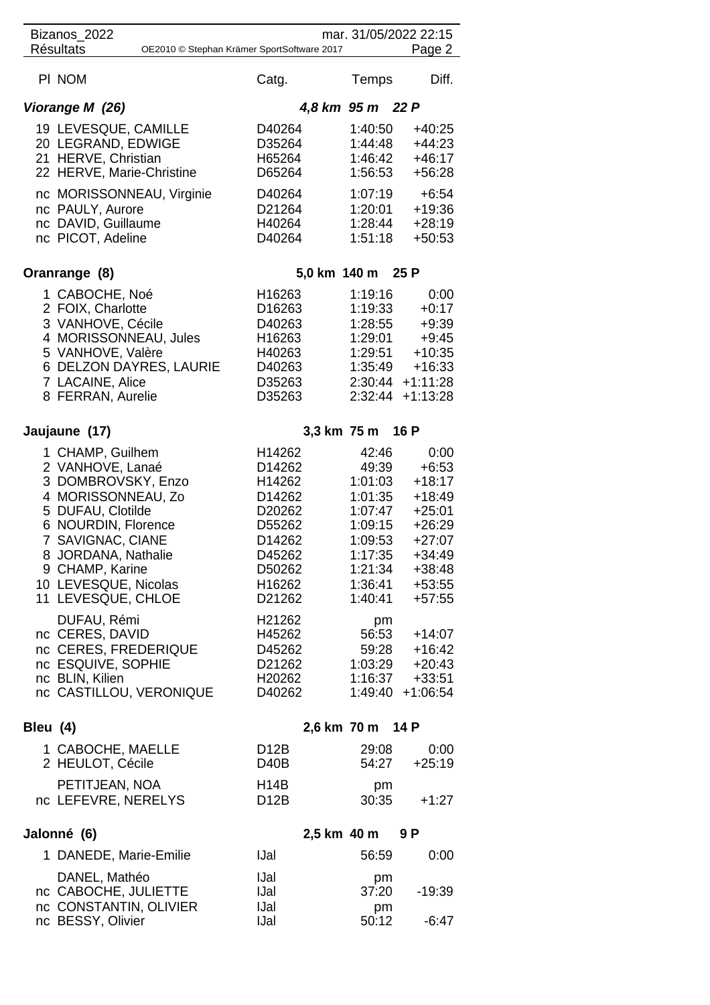| Bizanos_2022<br>mar. 31/05/2022 22:15<br><b>Résultats</b><br>OE2010 © Stephan Krämer SportSoftware 2017<br>Page 2 |                                                                                                                                                                                                                                           |                                                                                                                        |                                                                                                                   |                                                                                                                           |  |
|-------------------------------------------------------------------------------------------------------------------|-------------------------------------------------------------------------------------------------------------------------------------------------------------------------------------------------------------------------------------------|------------------------------------------------------------------------------------------------------------------------|-------------------------------------------------------------------------------------------------------------------|---------------------------------------------------------------------------------------------------------------------------|--|
|                                                                                                                   |                                                                                                                                                                                                                                           |                                                                                                                        |                                                                                                                   |                                                                                                                           |  |
|                                                                                                                   | PI NOM                                                                                                                                                                                                                                    | Catg.                                                                                                                  | <b>Temps</b>                                                                                                      | Diff.                                                                                                                     |  |
|                                                                                                                   | Viorange M (26)<br>19 LEVESQUE, CAMILLE<br>20 LEGRAND, EDWIGE<br>21 HERVE, Christian<br>22 HERVE, Marie-Christine<br>nc MORISSONNEAU, Virginie<br>nc PAULY, Aurore<br>nc DAVID, Guillaume<br>nc PICOT, Adeline                            | D40264<br>D35264<br>H65264<br>D65264<br>D40264<br>D21264<br>H40264<br>D40264                                           | 4,8 km 95 m 22 P<br>1:40:50<br>1:44:48<br>1:46:42<br>1:56:53<br>1:07:19<br>1:20:01<br>1:28:44<br>1:51:18          | $+40:25$<br>$+44:23$<br>$+46:17$<br>$+56:28$<br>$+6:54$<br>$+19:36$<br>$+28:19$<br>$+50:53$                               |  |
|                                                                                                                   | Oranrange (8)                                                                                                                                                                                                                             | 5,0 km 140 m 25 P                                                                                                      |                                                                                                                   |                                                                                                                           |  |
|                                                                                                                   | 1 CABOCHE, Noé<br>2 FOIX, Charlotte<br>3 VANHOVE, Cécile<br>4 MORISSONNEAU, Jules<br>5 VANHOVE, Valère<br>6 DELZON DAYRES, LAURIE<br>7 LACAINE, Alice<br>8 FERRAN, Aurelie                                                                | H16263<br>D16263<br>D40263<br>H16263<br>H40263<br>D40263<br>D35263<br>D35263                                           | 1:19:16<br>1:19:33<br>1:28:55<br>1:29:01<br>1:29:51<br>1:35:49<br>2:30:44<br>2:32:44                              | 0:00<br>$+0:17$<br>$+9:39$<br>$+9:45$<br>$+10:35$<br>$+16:33$<br>$+1:11:28$<br>$+1:13:28$                                 |  |
|                                                                                                                   | Jaujaune (17)                                                                                                                                                                                                                             |                                                                                                                        | 3,3 km 75 m 16 P                                                                                                  |                                                                                                                           |  |
|                                                                                                                   | 1 CHAMP, Guilhem<br>2 VANHOVE, Lanaé<br>3 DOMBROVSKY, Enzo<br>4 MORISSONNEAU, Zo<br>5 DUFAU, Clotilde<br>6 NOURDIN, Florence<br>7 SAVIGNAC, CIANE<br>8 JORDANA, Nathalie<br>9 CHAMP, Karine<br>10 LEVESQUE, Nicolas<br>11 LEVESQUE, CHLOE | H14262<br>D14262<br>H14262<br>D14262<br>D <sub>20262</sub><br>D55262<br>D14262<br>D45262<br>D50262<br>H16262<br>D21262 | 42:46<br>49:39<br>1:01:03<br>1:01:35<br>1:07:47<br>1:09:15<br>1:09:53<br>1:17:35<br>1:21:34<br>1:36:41<br>1:40:41 | 0:00<br>$+6:53$<br>$+18:17$<br>$+18:49$<br>$+25:01$<br>$+26:29$<br>$+27:07$<br>$+34:49$<br>+38:48<br>$+53:55$<br>$+57:55$ |  |
|                                                                                                                   | DUFAU, Rémi<br>nc CERES, DAVID<br>nc CERES, FREDERIQUE<br>nc ESQUIVE, SOPHIE<br>nc BLIN, Kilien<br>nc CASTILLOU, VERONIQUE                                                                                                                | H21262<br>H45262<br>D45262<br>D21262<br>H20262<br>D40262                                                               | pm<br>56:53<br>59:28<br>1:03:29<br>1:16:37<br>1:49:40                                                             | $+14:07$<br>$+16:42$<br>$+20:43$<br>$+33:51$<br>$+1:06:54$                                                                |  |
| Bleu (4)                                                                                                          |                                                                                                                                                                                                                                           |                                                                                                                        | 2,6 km 70 m 14 P                                                                                                  |                                                                                                                           |  |
|                                                                                                                   | 1 CABOCHE, MAELLE<br>2 HEULOT, Cécile                                                                                                                                                                                                     | D <sub>12</sub> B<br>D <sub>40</sub> B                                                                                 | 29:08<br>54:27                                                                                                    | 0:00<br>$+25:19$                                                                                                          |  |
|                                                                                                                   | PETITJEAN, NOA<br>nc LEFEVRE, NERELYS                                                                                                                                                                                                     | H14B<br>D <sub>12</sub> B                                                                                              | pm<br>30:35                                                                                                       | $+1:27$                                                                                                                   |  |
| Jalonné (6)<br>2,5 km 40 m<br>9 P                                                                                 |                                                                                                                                                                                                                                           |                                                                                                                        |                                                                                                                   |                                                                                                                           |  |
|                                                                                                                   | 1 DANEDE, Marie-Emilie                                                                                                                                                                                                                    | <b>IJal</b>                                                                                                            | 56:59                                                                                                             | 0:00                                                                                                                      |  |
|                                                                                                                   | DANEL, Mathéo<br>nc CABOCHE, JULIETTE<br>nc CONSTANTIN, OLIVIER<br>nc BESSY, Olivier                                                                                                                                                      | <b>IJal</b><br><b>IJal</b><br><b>IJal</b><br><b>IJal</b>                                                               | pm<br>37:20<br>pm<br>50:12                                                                                        | $-19:39$<br>$-6:47$                                                                                                       |  |